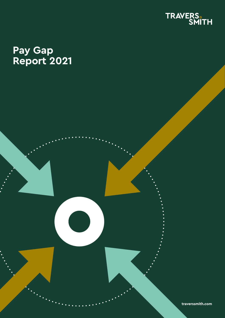

### **Pay Gap Report 2021**

Travers Smith (1982) and the smith in the smith  $\mathcal{R}_\text{max}$ **traverssmith.com**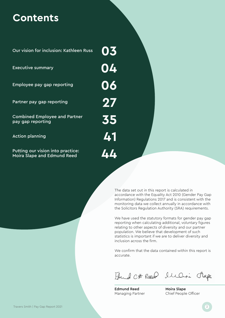### **Contents**

Our vision for inclusion: Kathleen Russ

Executive summary

Employee pay gap reporting

Partner pay gap reporting

Combined Employee and Partner pay gap reporting

Action planning

Putting our vision into practice: Moira Slape and Edmund Reed

> The data set out in this report is calculated in accordance with the Equality Act 2010 (Gender Pay Gap Information) Regulations 2017 and is consistent with the monitoring data we collect annually in accordance with the Solicitors Regulation Authority (SRA) requirements.

> We have used the statutory formats for gender pay gap reporting when calculating additional, voluntary figures relating to other aspects of diversity and our partner population. We believe that development of such statistics is important if we are to deliver diversity and inclusion across the firm.

> We confirm that the data contained within this report is accurate.

Fund Ct Reed Illari Rape

Edmund Reed Managing Partner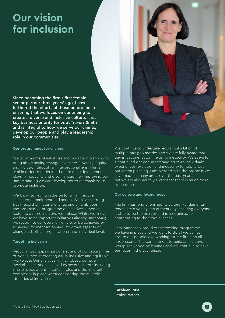# **Our vision for inclusion**

Since becoming the firm's first female senior partner three years' ago, I have furthered the efforts of those before me in ensuring that we focus on continuing to create a diverse and inclusive culture. It is a key business priority for us at Travers Smith and is integral to how we serve our clients. develop our people and play a leadership role in our communities.

#### **Our programmes for change**

Our programme of initiatives and our action planning to bring about lasting change, examines Diversity, Equity and Inclusion through an intersectional lens. This is vital in order to understand the role multiple identities plays in inequality and discrimination. By improving our understanding we can develop better mechanisms to promote inclusion.

We know achieving inclusion for all will require sustained commitment and action. We have a strong track record of material change and an ambitious and progressive programme of initiatives aimed at fostering a more inclusive workplace. Whilst we know we have some important initiatives already underway; we recognise our goals will only ever be achieved by achieving momentum behind important aspects of change at both an organisational and individual level.

#### **Targeting inclusion**

Reducing pay gaps is just one strand of our programme of work aimed at creating a fully inclusive and equitable workplace. Our analytics, whilst robust, do have inevitable limitations caused by several factors including smaller populations in certain roles and the inherent complexity in place when considering the multiple identities of individuals.

We continue to undertake regular calculation of multiple pay gap metrics and we are fully aware that pay is just one factor in erasing inequality. We strive for a continued deeper understanding of an individual's experiences, exclusion and inequality to help target our action planning. I am pleased with the progress we have made in many areas over the past years, but we are also acutely aware that there is much more to be done.

### **Our culture and future focus**

The firm has long cherished its culture. Fundamental tenets are diversity and authenticity, ensuring everyone is able to be themselves and is recognised for contributing to the firm's success.

I am immensely proud of the exciting programme we have in place and we want to do all we can to ensure our people love working for the firm and all it represents. The commitment to build an inclusive workplace knows no bounds and will continue to have our focus in the year ahead.

**Kathleen Russ** Senior Partner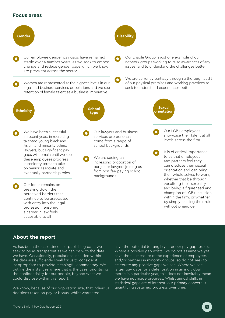### **Focus areas**



### **About the report**

As has been the case since first publishing data, we seek to be as transparent as we can be with the data we have. Occasionally, populations included within the data are sufficiently small for us to consider it inappropriate to provide meaningful commentary. We outline the instances where that is the case, prioritising the confidentiality for our people, beyond what we could disclose within this report.

We know, because of our population size, that individual decisions taken on pay or bonus, whilst warranted,

have the potential to tangibly alter our pay gap results. Where a positive gap exists, we do not assume we yet have the full measure of the experience of employees and/or partners in minority groups, so do not seek to celebrate any positive gaps we see. Where we see larger pay gaps, or a deterioration in an individual metric in a particular year, this does not inevitably mean we have not made progress. Whilst annual shifts in statistical gaps are of interest, our primary concern is quantifying sustained progress over time.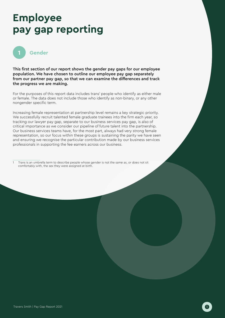# **Employee pay gap reporting**



This first section of our report shows the gender pay gaps for our employee population. We have chosen to outline our employee pay gap separately from our partner pay gap, so that we can examine the differences and track the progress we are making.

For the purposes of this report data includes trans<sup>1</sup> people who identify as either male or female. The data does not include those who identify as non-binary, or any other nongender specific term.

Increasing female representation at partnership level remains a key strategic priority. We successfully recruit talented female graduate trainees into the firm each year, so tracking our lawyer pay gap, separate to our business services pay gap, is also of critical importance as we consider our pipeline of future talent into the partnership. Our business services teams have, for the most part, always had very strong female representation, so our focus within these groups is sustaining the parity we have seen and ensuring we recognise the particular contribution made by our business services professionals in supporting the fee earners across our business.

Trans is an umbrella term to describe people whose gender is not the same as, or does not sit comfortably with, the sex they were assigned at birth.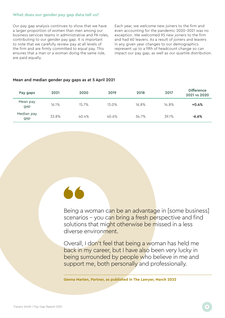### **What does our gender pay gap data tell us?**

Our pay gap analysis continues to show that we have a larger proportion of women than men among our business services teams in administrative and PA roles, contributing to our gender pay gap. It is important to note that we carefully review pay at all levels of the firm and are firmly committed to equal pay. This ensures that a man or a woman doing the same role, are paid equally.

Each year, we welcome new joiners to the firm and even accounting for the pandemic 2020-2021 was no exception. We welcomed 95 new joiners to the firm and had 60 leavers. As a result of joiners and leavers in any given year changes to our demographics represent up to a fifth of headcount change so can impact our pay gap, as well as our quartile distribution.

| Pay gaps          | 2021  | 2020  | 2019  | 2018  | 2017  | <b>Difference</b><br>2021 vs 2020 |
|-------------------|-------|-------|-------|-------|-------|-----------------------------------|
| Mean pay<br>gap   | 16.1% | 15.7% | 13.0% | 16.8% | 14.8% | $+0.4%$                           |
| Median pay<br>gap | 33.8% | 40.4% | 40.6% | 34.7% | 39.1% | $-6.6%$                           |

### Mean and median gender pay gaps as at 5 April 2021

Being a woman can be an advantage in [some business] scenarios – you can bring a fresh perspective and find solutions that might otherwise be missed in a less diverse environment.

Overall, I don't feel that being a woman has held me back in my career, but I have also been very lucky in being surrounded by people who believe in me and support me, both personally and professionally.

**Genna Marten, Partner, as published in The Lawyer, March 2022**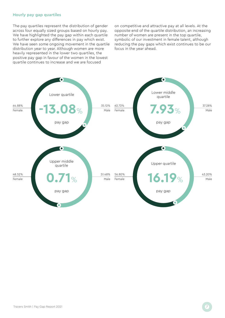### **Hourly pay gap quartiles**

The pay quartiles represent the distribution of gender across four equally sized groups based on hourly pay. We have highlighted the pay gap within each quartile to further explore any differences in pay which exist. We have seen some ongoing movement in the quartile distribution year to year. Although women are more heavily represented in the lower two quartiles, the positive pay gap in favour of the women in the lowest quartile continues to increase and we are focused

on competitive and attractive pay at all levels. At the opposite end of the quartile distribution, an increasing number of women are present in the top quartile, symbolic of our investment in female talent, although reducing the pay gaps which exist continues to be our focus in the year ahead.

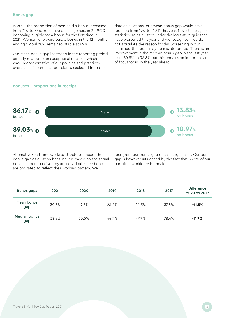### **Bonus gap**

In 2021, the proportion of men paid a bonus increased from 77% to 86%, reflective of male joiners in 2019/20 becoming eligible for a bonus for the first time in 2021. Women who were paid a bonus in the 12 months ending 5 April 2021 remained stable at 89%.

Our mean bonus gap increased in the reporting period, directly related to an exceptional decision which was unrepresentative of our policies and practices overall. If this particular decision is excluded from the

data calculations, our mean bonus gap would have reduced from 19% to 11.3% this year. Nevertheless, our statistics, as calculated under the legislative guidance, have worsened this year and we recognise if we do not articulate the reason for this worsening in our statistics, the result may be misinterpreted. There is an improvement in the median bonus gap in the last year from 50.5% to 38.8% but this remains an important area of focus for us in the year ahead.





Alternative/part-time working structures impact the bonus gap calculation because it is based on the actual bonus amount received by an individual, since bonuses are pro-rated to reflect their working pattern. We

recognise our bonus gap remains significant. Our bonus gap is however influenced by the fact that 85.8% of our part-time workforce is female.

| Bonus gaps          | 2021  | 2020  | 2019  | 2018  | 2017  | <b>Difference</b><br>2020 vs 2019 |
|---------------------|-------|-------|-------|-------|-------|-----------------------------------|
| Mean bonus<br>gap   | 30.8% | 19.3% | 28.2% | 24.3% | 37.8% | $+11.5%$                          |
| Median bonus<br>gap | 38.8% | 50.5% | 44.7% | 47.9% | 78.4% | $-11.7\%$                         |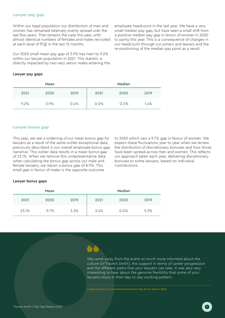### **Lawyer pay gap**

Within our legal population our distribution of men and women has remained relatively evenly spread over the last few years. That remains the case this year, with almost identical numbers of females and males recruited at each level of PQE in the last 12 months.

Our 2020 small mean pay gap of 3.9% has risen to 9.2% within our lawyer population in 2021. This statistic is directly impacted by two very senior males entering the employee headcount in the last year. We have a very small median pay gap, but have seen a small shift from a positive median pay gap in favour of women in 2020 to parity this year. This is a consequence of changes in our headcount through our joiners and leavers and the re-positioning of the median pay point as a result.

#### Lawyer pay gaps

|      | Mean |      | Median |         |      |  |  |
|------|------|------|--------|---------|------|--|--|
| 2021 | 2020 | 2019 | 2021   | 2020    | 2019 |  |  |
| 9.2% | 3.9% | 0.4% | 0.0%   | $-2.5%$ | 1.4% |  |  |

### **Lawyer bonus gap**

This year, we see a widening of our mean bonus gap for lawyers as a result of the same outlier exceptional data, previously described in our overall employee bonus gap narrative. This outlier data results in a mean bonus gap of 23.1%. When we remove this unrepresentative data when calculating the bonus gap across our male and female lawyers, we report a bonus gap of 8.9%. This small gap in favour of males is the opposite outcome

to 2020 which saw a 9.7% gap in favour of women. We expect these fluctuations year to year when we review the distribution of discretionary bonuses and how those have been spread across men and women. This reflects our approach taken each year, delivering discretionary bonuses to some lawyers, based on individual contributions.

#### Lawyer bonus gaps

|       | Mean     |      | Median |         |      |  |
|-------|----------|------|--------|---------|------|--|
| 2021  | 2020     | 2019 | 2021   | 2020    | 2019 |  |
| 23.1% | $-9.7\%$ | 3.3% | 3.4%   | $0.0\%$ | 9.3% |  |



We came away from the event so much more informed about the culture [of Travers Smith], the support in terms of career progression and the different paths that your lawyers can take. It was also very interesting to hear about the genuine flexibility that some of your lawyers enjoy in their day to day working pattern.

**Legal recruiter in** *International Women's Day Event March 2022*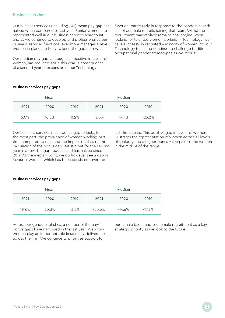### **Business services**

Our business services (including PAs) mean pay gap has halved when compared to last year. Senior women are represented well in our business services headcount and as we continue to develop and professionalise our business services functions, ever more managerial level women in place are likely to keep the gap narrow.

Our median pay gap, although still positive in favour of women, has reduced again this year; a consequence of a second year of expansion of our Technology

function, particularly in response to the pandemic, with half of our male recruits joining that team. Whilst the recruitment marketplace remains challenging when looking for talented women working in Technology, we have successfully recruited a minority of women into our Technology team and continue to challenge traditional occupational gender stereotypes as we recruit.

### Business services pay gaps

|      | Mean  |          |         | Median |           |
|------|-------|----------|---------|--------|-----------|
| 2021 | 2020  | 2019     | 2021    | 2020   | 2019      |
| 5.0% | 10.5% | $10.2\%$ | $-2.3%$ | -14.1% | $-25.2\%$ |

Our business services mean bonus gap reflects, for the most part, the prevalence of women working part time compared to men and the impact this has on the calculation of the bonus gap statistic but for the second year in a row, the gap reduces and has halved since 2019. At the median point, we do however see a gap in favour of women, which has been consistent over the

last three years. This positive gap in favour of women, illustrates the representation of women across all levels of seniority and a higher bonus value paid to the women in the middle of the range.

#### Business services pay gaps

|       | Mean  |       | Median    |           |           |  |  |
|-------|-------|-------|-----------|-----------|-----------|--|--|
| 2021  | 2020  | 2019  | 2021      | 2020      | 2019      |  |  |
| 19.8% | 30.3% | 43.3% | $-20.3\%$ | $-14.6\%$ | $-17.3\%$ |  |  |

Across our gender statistics, a number of the pay/ bonus gaps have narrowed in the last year. We know women play an important role in so many deliverables across the firm. We continue to prioritise support for

our female talent and see female recruitment as a key strategic priority as we look to the future.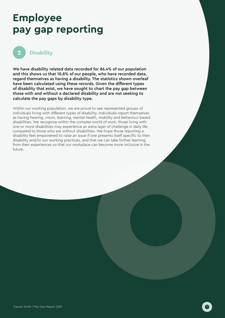# **Employee pay gap reporting**



### **Disability**

We have disability related data recorded for 86.4% of our population and this shows us that 10.8% of our people, who have recorded data, regard themselves as having a disability. The statistics shown overleaf have been calculated using these records. Given the different types of disability that exist, we have sought to chart the pay gap between those with and without a declared disability and are not seeking to calculate the pay gaps by disability type.

Within our working population, we are proud to see represented groups of individuals living with different types of disability. Individuals report themselves as having hearing, vision, learning, mental health, mobility and behaviour-based disabilities. We recognise within the complex world of work, those living with one or more disabilities may experience an extra layer of challenge in daily life compared to those who are without disabilities. We hope those reporting a disability feel empowered to raise an issue if one presents itself specific to their disability and/or our working practices, and that we can take further learning from their experiences so that our workplace can become more inclusive in the future.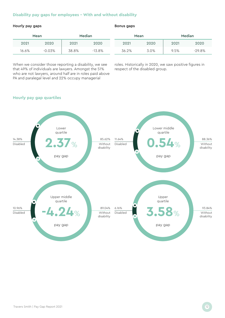### **Disability pay gaps for employees – With and without disability**

### Hourly pay gaps **Bonus gaps** Bonus gaps

|       | Mean     |       | Median    |  |       | Mean | <b>Median</b> |          |
|-------|----------|-------|-----------|--|-------|------|---------------|----------|
| 2021  | 2020     | 2021  | 2020      |  | 2021  | 2020 | 2021          | 2020     |
| 16.6% | $-0.03%$ | 38.8% | $-13.8\%$ |  | 36.2% | 3.0% | 9.5%          | $-29.8%$ |

When we consider those reporting a disability, we see that 49% of individuals are lawyers. Amongst the 51% who are not lawyers, around half are in roles paid above PA and paralegal level and 22% occupy managerial

roles. Historically in 2020, we saw positive figures in respect of the disabled group.

### **Hourly pay gap quartiles**

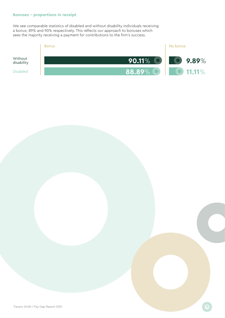### **Bonuses – proportions in receipt**

We see comparable statistics of disabled and without disability individuals receiving a bonus; 89% and 90% respectively. This reflects our approach to bonuses which sees the majority receiving a payment for contributions to the firm's success.

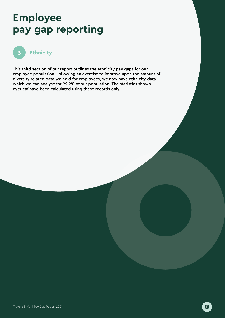# **Employee pay gap reporting**



This third section of our report outlines the ethnicity pay gaps for our employee population. Following an exercise to improve upon the amount of diversity related data we hold for employees, we now have ethnicity data which we can analyse for 92.2% of our population. The statistics shown overleaf have been calculated using these records only.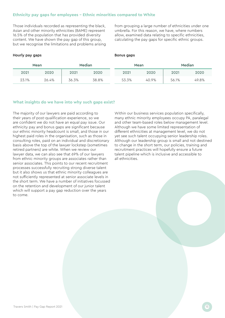### **Ethnicity pay gaps for employees – Ethnic minorities compared to White**

Those individuals recorded as representing the black, Asian and other minority ethnicities (BAME) represent 16.5% of the population that has provided diversity content. We have shown the pay gap of this group, but we recognise the limitations and problems arising from grouping a large number of ethnicities under one umbrella. For this reason, we have, where numbers allow, examined data relating to specific ethnicities, calculating the pay gaps for specific ethnic groups.

### Hourly pay gaps **Bonus gaps** Bonus gaps

|       | Mean  |       | Median |  |       | Mean  | Median |       |
|-------|-------|-------|--------|--|-------|-------|--------|-------|
| 2021  | 2020  | 2021  | 2020   |  | 2021  | 2020  | 2021   | 2020  |
| 23.1% | 26.4% | 36.3% | 38.8%  |  | 53.3% | 40.9% | 56.1%  | 49.8% |

### **What insights do we have into why such gaps exist?**

The majority of our lawyers are paid according to their years of post-qualification experience, so we are confident we do not have an equal pay issue. Our ethnicity pay and bonus gaps are significant because our ethnic minority headcount is small, and those in our highest paid roles in the organisation, such as those in consulting roles, paid on an individual and discretionary basis above the top of the lawyer lockstep (sometimes retired partners) are white. When we review our lawyer data, we can also see that 69% of our lawyers from ethnic minority groups are associates rather than senior associates. This points to our recent recruitment processes successfully recruiting strong diverse talent but it also shows us that ethnic minority colleagues are not sufficiently represented at senior associate levels in the short term. We have a number of initiatives focussed on the retention and development of our junior talent which will support a pay gap reduction over the years to come.

Within our business services population specifically, many ethnic minority employees occupy PA, paralegal and other team-based roles below management level. Although we have some limited representation of different ethnicities at management level, we do not yet see such talent occupying senior leadership roles. Although our leadership group is small and not destined to change in the short term, our policies, training and recruitment practices will hopefully ensure a future talent pipeline which is inclusive and accessible to all ethnicities.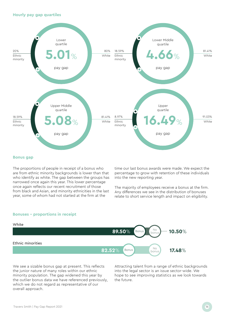**Hourly pay gap quartiles** 



#### **Bonus gap**

The proportions of people in receipt of a bonus who are from ethnic minority backgrounds is lower than that who identify as white. The gap between the groups has narrowed once again this year. This lower percentage once again reflects our recent recruitment of those from black and Asian, and minority ethnicities in the last year, some of whom had not started at the firm at the

time our last bonus awards were made. We expect the percentage to grow with retention of these individuals into the new reporting year.

The majority of employees receive a bonus at the firm. Any differences we see in the distribution of bonuses relate to short service length and impact on eligibility.

#### **Bonuses – proportions in receipt**



We see a sizable bonus gap at present. This reflects the junior nature of many roles within our ethnic minority population. The gap widened this year by the outlier bonus data we have referenced previously, which we do not regard as representative of our overall approach.

Attracting talent from a range of ethnic backgrounds into the legal sector is an issue sector-wide. We hope to see improving statistics as we look towards the future.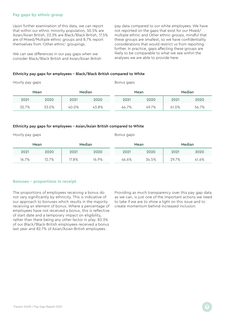### **Pay gaps by ethnic group**

Upon further examination of this data, we can report that within our ethnic minority population, 50.5% are Asian/Asian British, 23.3% are Black/Black British, 17.5% are of Mixed/Multiple ethnic groups and 8.7% report themselves from 'Other ethnic' groupings.

We can see differences in our pay gaps when we consider Black/Black British and Asian/Asian British pay data compared to our white employees. We have not reported on the gaps that exist for our Mixed/ multiple ethnic and Other ethnic groups, mindful that these groups are smallest, so we have confidentiality considerations that would restrict us from reporting further. In practice, gaps affecting these groups are likely to be comparable to what we see within the analyses we are able to provide here.

### Ethnicity pay gaps for employees – Black/Black British compared to White

| Hourly pay gaps |                |       |       | Bonus gaps |        |       |       |  |  |
|-----------------|----------------|-------|-------|------------|--------|-------|-------|--|--|
|                 | Median<br>Mean |       | Mean  |            | Median |       |       |  |  |
| 2021            | 2020           | 2021  | 2020  | 2021       | 2020   | 2021  | 2020  |  |  |
| 32.7%           | 33.0%          | 40.0% | 43.8% | 64.7%      | 49.7%  | 61.0% | 56.7% |  |  |

#### Ethnicity pay gaps for employees – Asian/Asian British compared to White

Hourly pay gaps

Bonus gaps

|       | Mean  |       | Median |       | Mean  | <b>Median</b> |       |
|-------|-------|-------|--------|-------|-------|---------------|-------|
| 2021  | 2020  | 2021  | 2020   | 2021  | 2020  | 2021          | 2020  |
| 16.7% | 12.7% | 17.8% | 16.9%  | 46.6% | 34.5% | 29.7%         | 41.6% |

#### **Bonuses – proportions in receipt**

The proportions of employees receiving a bonus do not vary significantly by ethnicity. This is indicative of our approach to bonuses which results in the majority receiving an element of bonus. Where a percentage of employees have not received a bonus, this is reflective of start date and a temporary impact on eligibility, rather than there being any other factor in play. 83.3% of our Black/Black-British employees received a bonus last year and 82.7% of Asian/Asian-British employees.

Providing as much transparency over this pay gap data as we can, is just one of the important actions we need to take if we are to shine a light on this issue and to create momentum behind increased inclusion.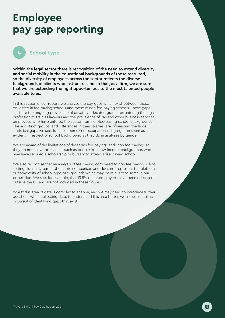# **Employee pay gap reporting**



### **School type**

Within the legal sector there is recognition of the need to extend diversity and social mobility in the educational backgrounds of those recruited, so the diversity of employees across the sector reflects the diverse backgrounds of clients who instruct us and so that, as a firm, we are sure that we are extending the right opportunities to the most talented people available to us.

In this section of our report, we analyse the pay gaps which exist between those educated in fee-paying schools and those of non-fee-paying schools. These gaps illustrate the ongoing prevalence of privately educated graduates entering the legal profession to train as lawyers and the prevalence of PAs and other business services employees who have entered the sector from non-fee-paying school backgrounds. These distinct groups, and differences in their salaries, are influencing the large statistical gaps we see. Issues of perceived occupational segregation seem as evident in respect of school background as they do in analyses by gender.

We are aware of the limitations of the terms fee-paying" and "non-fee-paying" as they do not allow for nuances such as people from low-income backgrounds who may have secured a scholarship or bursary to attend a fee-paying school.

We also recognise that an analysis of fee-paying compared to non-fee-paying school settings is a fairly basic, UK-centric comparison and does not represent the plethora or complexity of school type backgrounds which may be relevant to some in our population. We see, for example, that 13.5% of our employees have been educated outside the UK and are not included in these figures.

Whilst this area of data is complex to analyse, and we may need to introduce further questions when collecting data, to understand this area better, we include statistics in pursuit of identifying gaps that exist.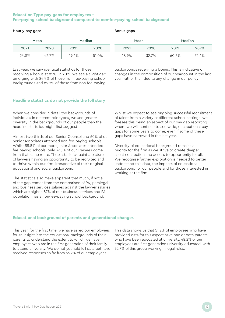### **Education Type pay gaps for employees – Fee-paying school background compared to non-fee-paying school background**

Hourly pay gaps **Bonus gaps** Bonus gaps

|       | Mean  |       | Median | Mean  |       | <b>Median</b> |       |
|-------|-------|-------|--------|-------|-------|---------------|-------|
| 2021  | 2020  | 2021  | 2020   | 2021  | 2020  | 2021          | 2020  |
| 24.8% | 42.7% | 49.4% | 51.0%  | 48.9% | 32.7% | 60.6%         | 72.4% |

Last year, we saw identical statistics for those receiving a bonus at 85%. In 2021, we see a slight gap emerging with 84.9% of those from fee-paying school backgrounds and 89.9% of those from non-fee-paying

backgrounds receiving a bonus. This is indicative of changes in the composition of our headcount in the last year, rather than due to any change in our policy

### **Headline statistics do not provide the full story**

When we consider in detail the backgrounds of individuals in different role types, we see greater diversity in the backgrounds of our people than the headline statistics might first suggest.

Almost two thirds of our Senior Counsel and 60% of our Senior Associates attended non-fee-paying schools. Whilst 55.5% of our more junior Associates attended fee-paying schools, only 37.5% of our Trainees come from that same route. These statistics paint a picture of lawyers having an opportunity to be recruited and to thrive within our firm, irrespective of their original educational and social background.

The statistics also make apparent that much, if not all, of the gap comes from the comparison of PA, paralegal and business services salaries against the lawyer salaries which are higher. 87% of our business services and PA population has a non-fee-paying school background.

Whilst we expect to see ongoing successful recruitment of talent from a variety of different school settings, we foresee this being an aspect of our pay gap reporting where we will continue to see wide, occupational pay gaps for some years to come, even if some of these gaps have narrowed in the last year.

Diversity of educational background remains a priority for the firm as we strive to create deeper client connection and access to opportunity for all. We recognise further exploration is needed to better understand this data, the impacts of educational background for our people and for those interested in working at the firm.

### **Educational background of parents and generational changes**

This year, for the first time, we have asked our employees for an insight into the educational backgrounds of their parents to understand the extent to which we have employees who are in the first generation of their family to attend university. We do not yet hold full data but have received responses so far from 65.7% of our employees.

This data shows us that 51.2% of employees who have provided data for this aspect have one or both parents who have been educated at university. 48.2% of our employees are first generation university educated, with 32.7% of this group working in legal roles.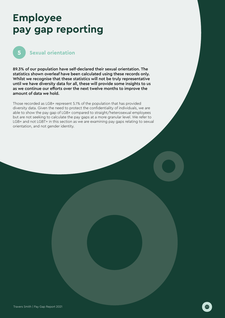# **Employee pay gap reporting**



### **Sexual orientation**

89.3% of our population have self-declared their sexual orientation. The statistics shown overleaf have been calculated using these records only. Whilst we recognise that these statistics will not be truly representative until we have diversity data for all, these will provide some insights to us as we continue our efforts over the next twelve months to improve the amount of data we hold.

Those recorded as LGB+ represent 5.1% of the population that has provided diversity data. Given the need to protect the confidentiality of individuals, we are able to show the pay gap of LGB+ compared to straight/heterosexual employees but are not seeking to calculate the pay gaps at a more granular level. We refer to LGB+ and not LGBT+ in this section as we are examining pay gaps relating to sexual orientation, and not gender identity.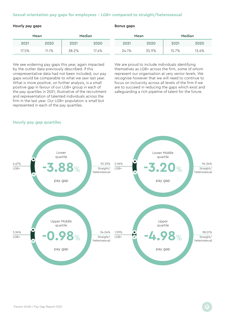### **Sexual orientation pay gaps for employees – LGB+ compared to straight/heterosexual**

### Hourly pay gaps **Bonus gaps** Bonus gaps

|       | Mean  |       | Median |  |       | Mean  | Median |       |
|-------|-------|-------|--------|--|-------|-------|--------|-------|
| 2021  | 2020  | 2021  | 2020   |  | 2021  | 2020  | 2021   | 2020  |
| 17.5% | 11.1% | 38.2% | 17.4%  |  | 24.1% | 35.9% | 15.7%  | 13.6% |

We see widening pay gaps this year, again impacted by the outlier data previously described. If this unrepresentative data had not been included, our pay gaps would be comparable to what we saw last year. What is more positive, on further analysis, is a small positive gap in favour of our LGB+ group in each of the pay quartiles in 2021; illustrative of the recruitment and representation of talented individuals across the firm in the last year. Our LGB+ population is small but represented in each of the pay quartiles.

We are proud to include individuals identifying themselves as LGB+ across the firm, some of whom represent our organisation at very senior levels. We recognise however that we will need to continue to focus on inclusivity across all levels of the firm if we are to succeed in reducing the gaps which exist and safeguarding a rich pipeline of talent for the future.



### **Hourly pay gap quartiles**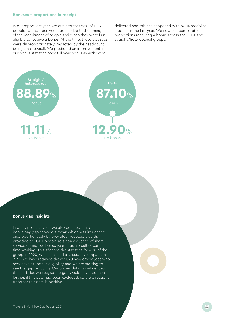### **Bonuses – proportions in receipt**

In our report last year, we outlined that 25% of LGB+ people had not received a bonus due to the timing of the recruitment of people and when they were first eligible to receive a bonus. At the time, these statistics were disproportionately impacted by the headcount being small overall. We predicted an improvement in our bonus statistics once full year bonus awards were

delivered and this has happened with 87.1% receiving a bonus in the last year. We now see comparable proportions receiving a bonus across the LGB+ and straight/heterosexual groups.



#### **Bonus gap insights**

In our report last year, we also outlined that our bonus pay gap showed a mean which was influenced disproportionately by pro-rated, reduced awards provided to LGB+ people as a consequence of short service during our bonus year or as a result of part time working. This affected the statistics for 43% of the group in 2020, which has had a substantive impact. In 2021, we have retained these 2020 new employees who now have full bonus eligibility and we are starting to see the gap reducing. Our outlier data has influenced the statistics we see, so the gap would have reduced further, if this data had been excluded, so the directional trend for this data is positive.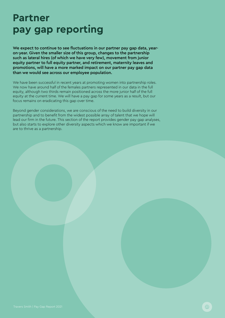We expect to continue to see fluctuations in our partner pay gap data, yearon-year. Given the smaller size of this group, changes to the partnership such as lateral hires (of which we have very few), movement from junior equity partner to full equity partner, and retirement, maternity leaves and promotions, will have a more marked impact on our partner pay gap data than we would see across our employee population.

We have been successful in recent years at promoting women into partnership roles. We now have around half of the females partners represented in our data in the full equity, although two thirds remain positioned across the more junior half of the full equity at the current time. We will have a pay gap for some years as a result, but our focus remains on eradicating this gap over time.

Beyond gender considerations, we are conscious of the need to build diversity in our partnership and to benefit from the widest possible array of talent that we hope will lead our firm in the future. This section of the report provides gender pay gap analyses, but also starts to explore other diversity aspects which we know are important if we are to thrive as a partnership.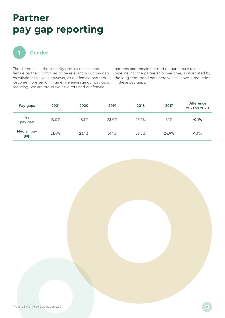

The difference in the seniority profiles of male and female partners continues to be relevant in our pay gap calculations this year, however, as our female partners become more senior, in time, we envisage our pay gaps reducing. We are proud we have retained our female

partners and remain focused on our female talent pipeline into the partnership over time, as illustrated by the long-term trend data here which shows a reduction in these pay gaps.

| Pay gaps          | 2021  | 2020  | 2019  | 2018  | 2017  | <b>Difference</b><br>2021 vs 2020 |
|-------------------|-------|-------|-------|-------|-------|-----------------------------------|
| Mean<br>pay gap   | 18.0% | 18.1% | 23.9% | 23.7% | 7.1%  | $-0.1%$                           |
| Median pay<br>gap | 21.4% | 23.1% | 51.1% | 29.3% | 24.9% | $-1.7%$                           |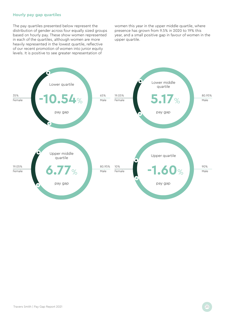### **Hourly pay gap quartiles**

The pay quartiles presented below represent the distribution of gender across four equally sized groups based on hourly pay. These show women represented in each of the quartiles, although women are more heavily represented in the lowest quartile, reflective of our recent promotion of women into junior equity levels. It is positive to see greater representation of

women this year in the upper middle quartile, where presence has grown from 9.5% in 2020 to 19% this year, and a small positive gap in favour of women in the upper quartile.

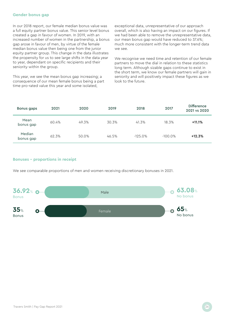### **Gender bonus gap**

In our 2018 report, our female median bonus value was a full equity partner bonus value. This senior level bonus created a gap in favour of women. In 2019, with an increased number of women in the partnership, a bonus gap arose in favour of men, by virtue of the female median bonus value then being one from the junior equity partner group. This change in the data illustrates the propensity for us to see large shifts in the data year to year, dependant on specific recipients and their seniority within the group.

This year, we see the mean bonus gap increasing; a consequence of our mean female bonus being a part time pro-rated value this year and some isolated,

exceptional data, unrepresentative of our approach overall, which is also having an impact on our figures. If we had been able to remove the unrepresentative data, our mean bonus gap would have reduced to 37.6%; much more consistent with the longer-term trend data we see.

We recognise we need time and retention of our female partners to move the dial in relation to these statistics long term. Although sizable gaps continue to exist in the short term, we know our female partners will gain in seniority and will positively impact these figures as we look to the future.

| Bonus gaps          | 2021  | 2020  | 2019  | 2018       | 2017       | <b>Difference</b><br>2021 vs 2020 |
|---------------------|-------|-------|-------|------------|------------|-----------------------------------|
| Mean<br>bonus gap   | 60.4% | 49.3% | 30.3% | 41.3%      | 18.3%      | $+11.1%$                          |
| Median<br>bonus gap | 62.3% | 50.0% | 46.5% | $-125.0\%$ | $-100.0\%$ | $+12.3%$                          |

### **Bonuses – proportions in receipt**

We see comparable proportions of men and women receiving discretionary bonuses in 2021.

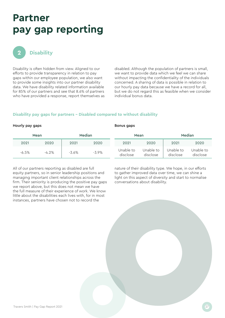

### **Disability**

Disability is often hidden from view. Aligned to our efforts to provide transparency in relation to pay gaps within our employee population, we also want to provide some insights into our partner disability data. We have disability related information available for 85% of our partners and see that 8.6% of partners who have provided a response, report themselves as

disabled. Although the population of partners is small, we want to provide data which we feel we can share without impacting the confidentiality of the individuals concerned. A sharing of data is possible in relation to our hourly pay data because we have a record for all, but we do not regard this as feasible when we consider individual bonus data.

### **Disability pay gaps for partners – Disabled compared to without disability**

### Hourly pay gaps **Bonus gaps** Bonus gaps

|          | Mean     | Median   |          |                       | Mean                  |                       | Median                |
|----------|----------|----------|----------|-----------------------|-----------------------|-----------------------|-----------------------|
| 2021     | 2020     | 2021     | 2020     | 2021                  | 2020                  | 2021                  | 2020                  |
| $-6.5\%$ | $-4.2\%$ | $-3.6\%$ | $-3.9\%$ | Unable to<br>disclose | Unable to<br>disclose | Unable to<br>disclose | Unable to<br>disclose |

All of our partners reporting as disabled are full equity partners, so in senior leadership positions and managing important client relationships across the firm. Their seniority is producing the positive pay gaps we report above, but this does not mean we have the full measure of their experience of work. We know little about the disabilities each lives with, for in most instances, partners have chosen not to record the

nature of their disability type. We hope, in our efforts to gather improved data over time, we can shine a light on this aspect of diversity and start to normalise conversations about disability.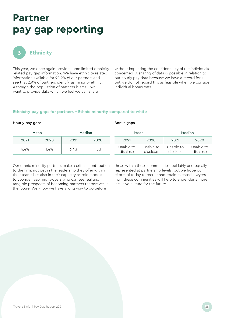

### **Ethnicity**

This year, we once again provide some limited ethnicity related pay gap information. We have ethnicity related information available for 90.9% of our partners and see that 2.9% of partners identify as minority ethnic. Although the population of partners is small, we want to provide data which we feel we can share

without impacting the confidentiality of the individuals concerned. A sharing of data is possible in relation to our hourly pay data because we have a record for all, but we do not regard this as feasible when we consider individual bonus data.

### **Ethnicity pay gaps for partners – Ethnic minority compared to white**

### Hourly pay gaps **Bonus gaps** Bonus gaps

|      | Mean |      | Median |                       | Mean                  |                       | Median                |
|------|------|------|--------|-----------------------|-----------------------|-----------------------|-----------------------|
| 2021 | 2020 | 2021 | 2020   | 2021                  | 2020                  | 2021                  | 2020                  |
| 4.4% | .4%  | 6.4% | 1.5%   | Unable to<br>disclose | Unable to<br>disclose | Unable to<br>disclose | Unable to<br>disclose |

Our ethnic minority partners make a critical contribution to the firm, not just in the leadership they offer within their teams but also in their capacity as role models to younger, aspiring lawyers who can see real and tangible prospects of becoming partners themselves in the future. We know we have a long way to go before

those within these communities feel fairly and equally represented at partnership levels, but we hope our efforts of today to recruit and retain talented lawyers from these communities will help to engender a more inclusive culture for the future.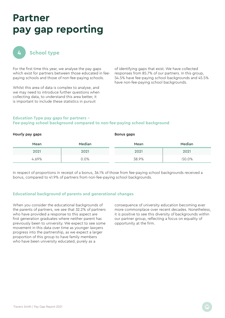

### **School type**

For the first time this year, we analyse the pay gaps which exist for partners between those educated in feepaying schools and those of non-fee-paying schools.

Whilst this area of data is complex to analyse, and we may need to introduce further questions when collecting data, to understand this area better, it is important to include these statistics in pursuit

of identifying gaps that exist. We have collected responses from 85.7% of our partners. In this group, 54.5% have fee-paying school backgrounds and 45.5% have non-fee-paying school backgrounds.

### **Education Type pay gaps for partners – Fee-paying school background compared to non-fee-paying school background**

| Hourly pay gaps |        | Bonus gaps |           |  |
|-----------------|--------|------------|-----------|--|
| Mean            | Median | Mean       | Median    |  |
| 2021            | 2021   | 2021       | 2021      |  |
| 4.69%           | 0.0%   | 38.9%      | $-50.0\%$ |  |

In respect of proportions in receipt of a bonus, 36.1% of those from fee-paying school backgrounds received a bonus, compared to 41.9% of partners from non-fee-paying school backgrounds.

### **Educational background of parents and generational changes**

When you consider the educational backgrounds of the parents of partners, we see that 32.2% of partners who have provided a response to this aspect are first generation graduates where neither parent has previously been to university. We expect to see some movement in this data over time as younger lawyers progress into the partnership, as we expect a larger proportion of this group to have family members who have been university educated, purely as a

consequence of university education becoming ever more commonplace over recent decades. Nonetheless, it is positive to see this diversity of backgrounds within our partner group, reflecting a focus on equality of opportunity at the firm.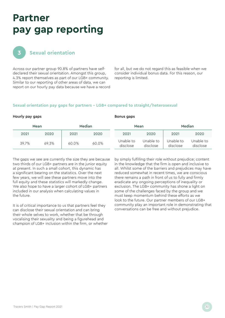

### **Sexual orientation**

Across our partner group 90.8% of partners have selfdeclared their sexual orientation. Amongst this group, 4.3% report themselves as part of our LGB+ community. Similar to our reporting of other areas of data, we can report on our hourly pay data because we have a record for all, but we do not regard this as feasible when we consider individual bonus data. For this reason, our reporting is limited.

### **Sexual orientation pay gaps for partners – LGB+ compared to straight/heterosexual**

### Hourly pay gaps **Bonus gaps** Bonus gaps

|       | Mean  | Median |       |                       | Mean                  |                       | Median                |
|-------|-------|--------|-------|-----------------------|-----------------------|-----------------------|-----------------------|
| 2021  | 2020  | 2021   | 2020  | 2021                  | 2020                  | 2021                  | 2020                  |
| 39.7% | 69.3% | 60.0%  | 60.0% | Unable to<br>disclose | Unable to<br>disclose | Unable to<br>disclose | Unable to<br>disclose |

The gaps we see are currently the size they are because two thirds of our LGB+ partners are in the junior equity at present. In such a small cohort, this dynamic has a significant bearing on the statistics. Over the next few years, we will see these partners move into the full equity and these statistics will markedly change. We also hope to have a larger cohort of LGB+ partners included in our analysis when calculating values in the future.

It is of critical importance to us that partners feel they can disclose their sexual orientation and can bring their whole selves to work, whether that be through vocalising their sexuality and being a figurehead and champion of LGB+ inclusion within the firm, or whether

by simply fulfilling their role without prejudice; content in the knowledge that the firm is open and inclusive to all. Whilst some of the barriers and prejudices may have reduced somewhat in recent times, we are conscious there remains a path in front of us to fully and firmly eradicate any ongoing perceptions of inequality or exclusion. The LGB+ community has shone a light on some of the challenges faced by the group and we must keep momentum behind these efforts as we look to the future. Our partner members of our LGB+ community play an important role in demonstrating that conversations can be free and without prejudice.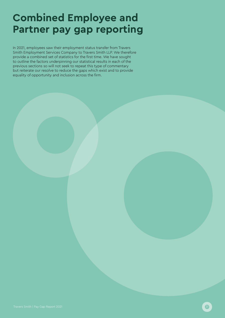# **Combined Employee and Partner pay gap reporting**

In 2021, employees saw their employment status transfer from Travers Smith Employment Services Company to Travers Smith LLP. We therefore provide a combined set of statistics for the first time. We have sought to outline the factors underpinning our statistical results in each of the previous sections so will not seek to repeat this type of commentary but reiterate our resolve to reduce the gaps which exist and to provide equality of opportunity and inclusion across the firm.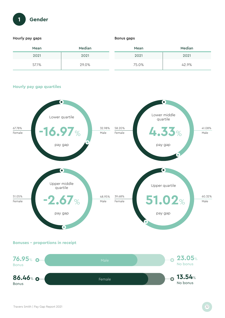

### Hourly pay gaps

### Bonus gaps

| Mean  | Median | Mean  | Median |
|-------|--------|-------|--------|
| 2021  | 2021   | 2021  | 2021   |
| 57.1% | 29.0%  | 75.0% | 42.9%  |

### **Hourly pay gap quartiles**



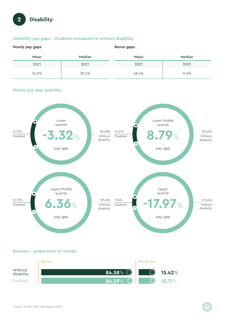

### **Disability pay gaps – Disabled compared to without disability**

| Hourly pay gaps |        | Bonus gaps |        |  |
|-----------------|--------|------------|--------|--|
| Mean            | Median | Mean       | Median |  |
| 2021            | 2021   | 2021       | 2021   |  |
| 16.0%           | 39.5%  | 48.4%      | 17.6%  |  |

### **Hourly pay gap quartiles**



**Bonuses – proportions in receipt** 

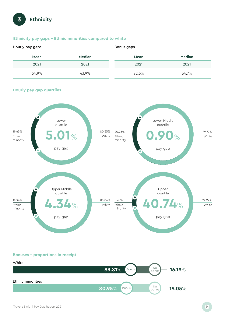

### **Ethnicity pay gaps – Ethnic minorities compared to white**

| Hourly pay gaps |        | Bonus gaps |        |  |
|-----------------|--------|------------|--------|--|
| Mean            | Median | Mean       | Median |  |
| 2021            | 2021   | 2021       | 2021   |  |
| 54.9%           | 43.9%  | 82.6%      | 64.7%  |  |

### **Hourly pay gap quartiles**



**Bonuses – proportions in receipt** 

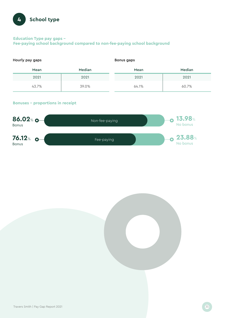

### **Education Type pay gaps – Fee-paying school background compared to non-fee-paying school background**

| Hourly pay gaps |        | Bonus gaps |        |  |
|-----------------|--------|------------|--------|--|
| Mean            | Median | Mean       | Median |  |
| 2021            | 2021   | 2021       | 2021   |  |
| 43.7%           | 39.0%  | 64.1%      | 60.7%  |  |

### **Bonuses – proportions in receipt**



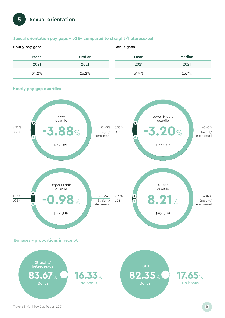# **5 Sexual orientation**

### **Sexual orientation pay gaps – LGB+ compared to straight/heterosexual**

| Hourly pay gaps |        | Bonus gaps |        |  |
|-----------------|--------|------------|--------|--|
| Mean            | Median | Mean       | Median |  |
| 2021            | 2021   | 2021       | 2021   |  |
| 34.2%           | 26.2%  | 61.9%      | 26.7%  |  |



### **Hourly pay gap quartiles**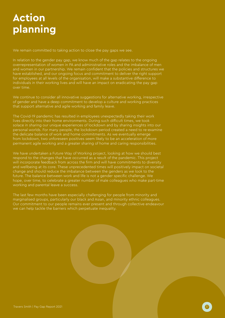# **Action planning**

We remain committed to taking action to close the pay gaps we see.

In relation to the gender pay gap, we know much of the gap relates to the ongoing overrepresentation of women in PA and administrative roles and the imbalance of men and women in our partnership. We remain confident that the policies and structures we have established, and our ongoing focus and commitment to deliver the right support for employees at all levels of the organisation, will make a substantive difference to individuals in their working lives and will have an impact on eradicating the pay gap over time.

We continue to consider all innovative suggestions for alternative working, irrespective of gender and have a deep commitment to develop a culture and working practices that support alternative and agile working and family leave.

The Covid-19 pandemic has resulted in employees unexpectedly taking their work lives directly into their home environments. During such difficult times, we took solace in sharing our unique experiences of lockdown and by sharing insights into our personal worlds. For many people, the lockdown period created a need to re-examine the delicate balance of work and home commitments. As we eventually emerge from lockdown, two unforeseen positives seem likely to be an acceleration of more permanent agile working and a greater sharing of home and caring responsibilities.

We have undertaken a Future Way of Working project, looking at how we should best respond to the changes that have occurred as a result of the pandemic. This project will incorporate feedback from across the firm and will have commitments to diversity and wellbeing at its core. These unprecedented times will positively impact on societal change and should reduce the imbalance between the genders as we look to the future. The balance between work and life is not a gender specific challenge. We hope, over time, to celebrate a greater number of male colleagues who make part-time working and parental leave a success.

The last few months have been especially challenging for people from minority and marginalised groups, particularly our black and Asian, and minority ethnic colleagues. Our commitment to our people remains ever present and through collective endeavour we can help tackle the barriers which perpetuate inequality.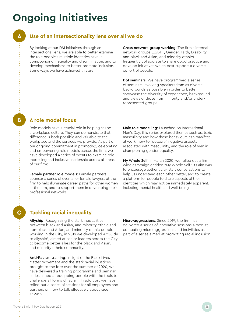# **Ongoing Initiatives**

**A**

**B**

**C**

### **Use of an intersectionality lens over all we do**

By looking at our D&I initiatives through an intersectional lens, we are able to better examine the role people's multiple identities have in compounding inequality and discrimination, and to develop mechanisms to better promote inclusion. Some ways we have achieved this are:

Cross network group working: The firm's internal network groups (LGBT+, Gender, Faith, Disability and black and Asian, and minority ethnic) frequently collaborate to share good practice and develop initiatives which best support a diverse cohort of people.

D&I seminars: We have programmed a series of seminars involving speakers from as diverse backgrounds as possible in order to better showcase the diversity of experience, background and views of those from minority and/or underrepresented groups.

### **A role model focus**

Role models have a crucial role in helping shape a workplace culture. They can demonstrate that difference is both possible and valuable to the workplace and the services we provide. As part of our ongoing commitment in promoting, celebrating and empowering role models across the firm, we have developed a series of events to examine role modelling and inclusive leadership across all areas of our firm:

Female partner role models: Female partners sponsor a series of events for female lawyers at the firm to help illuminate career paths for other women at the firm, and to support them in developing their professional networks.

Male role modelling: Launched on International Men's Day, this series explored themes such as; toxic masculinity and how these behaviours can manifest at work, how to "detoxify" negative aspects associated with masculinity, and the role of men in championing gender equality.

My Whole Self: In March 2020, we rolled out a firm wide campaign entitled "My Whole Self." Its aim was to encourage authenticity, start conversations to help us understand each other better, and to create a platform for people to share aspects of their identities which may not be immediately apparent, including mental health and well-being.

### **Tackling racial inequality**

Allyship: Recognising the stark inequalities between black and Asian, and minority ethnic and non-black and Asian, and minority ethnic people working in the City, in 2019 we developed a "Guide to allyship", aimed at senior leaders across the City to become better allies for the black and Asian, and minority ethnic community.

Anti-Racism training: In light of the Black Lives Matter movement and the stark racial injustices brought to the fore over the summer of 2020, we have delivered a training programme and seminar series aimed at equipping people with the tools to challenge all forms of racism. In addition, we have rolled out a series of sessions for all employees and partners on how to talk effectively about race at work.

Micro-aggressions: Since 2019, the firm has delivered a series of innovative sessions aimed at combating micro aggressions and incivilities as a part of a series aimed at promoting racial inclusion.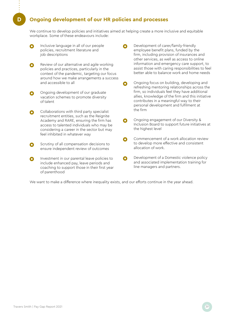### **D Ongoing development of our HR policies and processes**

We continue to develop policies and initiatives aimed at helping create a more inclusive and equitable workplace. Some of these endeavours include:

- Inclusive language in all of our people Ω policies, recruitment literature and job descriptions
- Review of our alternative and agile working policies and practices, particularly in the context of the pandemic, targeting our focus around how we make arrangements a success and accessible to all
- Ongoing development of our graduate vacation schemes to promote diversity of talent
- Collaborations with third party specialist recruitment entities, such as the Reignite Academy and RARE, ensuring the firm has access to talented individuals who may be considering a career in the sector but may feel inhibited in whatever way
- Scrutiny of all compensation decisions to Ω ensure independent review of outcomes
- Λ Investment in our parental leave policies to include enhanced pay, leave periods and coaching to support those in their first year of parenthood
- Development of carer/family-friendly employee benefit plans, funded by the firm, including provision of insurances and other services, as well as access to online information and emergency care support, to assist those with caring responsibilities to feel better able to balance work and home needs
- Ongoing focus on building, developing and O refreshing mentoring relationships across the firm, so individuals feel they have additional allies, knowledge of the firm and this initiative contributes in a meaningful way to their personal development and fulfilment at the firm
- Ongoing engagement of our Diversity &  $\bullet$ Inclusion Board to support future initiatives at the highest level
- Commencement of a work allocation review  $\bullet$ to develop more effective and consistent allocation of work.
- Development of a Domestic violence policy  $\bullet$ and associated implementation training for line managers and partners.

We want to make a difference where inequality exists, and our efforts continue in the year ahead.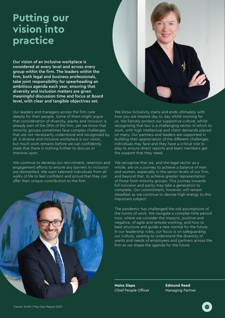## **Putting our vision into practice**

Our vision of an inclusive workplace is considered at every level and across every group within the firm. The leaders within the firm, both legal and business professionals, take joint responsibility for spearheading an ambitious agenda each year, ensuring that diversity and inclusion matters are given meaningful discussion time and focus at Board level, with clear and tangible objectives set.

Our leaders and managers across the firm care deeply for their people. Some of them might argue that consideration of diversity, equity and inclusion is already part of the DNA of the firm, yet we know that minority groups sometimes face complex challenges that are not necessarily understood and recognised by all. A diverse and inclusive workplace is our vision, but much work remains before we can confidently state that there is nothing further to discuss or improve upon.

We continue to develop our recruitment, retention and engagement efforts to ensure any barriers to inclusion are dismantled. We want talented individuals from all walks of life to feel confident and proud that they can offer their unique contribution to the firm.





We know inclusivity starts and ends ultimately with how you are treated day to day whilst working for us. We fiercely protect our supportive culture, whilst recognising that law is a challenging sector in which to work, with high intellectual and client demands placed on many. Our partners and leaders are supported in building their appreciation of the different challenges individuals may face and they have a critical role to play to ensure direct reports and team members get the support that they need.

We recognise that we, and the legal sector as a whole, are on a journey to achieve a balance of men and women, especially in the senior levels of our firm, and beyond that, to achieve greater representation of those from minority groups. This journey towards full inclusion and parity may take a generation to complete. Our commitment, however, will remain steadfast as we continue to devote high energy to this important subject.

The pandemic has challenged the old assumptions of the norms of work. We navigate a complex time period now, where we consider the impacts, positive and negative, of agile and remote working, and how to best structure and guide a new normal for the future. In our leadership roles, our focus is on safeguarding our culture, seeking to understand the diversity of wants and needs of employees and partners across the firm as we shape the agenda for the future.

**Moira Slape** Chief People Officer

**Edmund Reed** Managing Partner